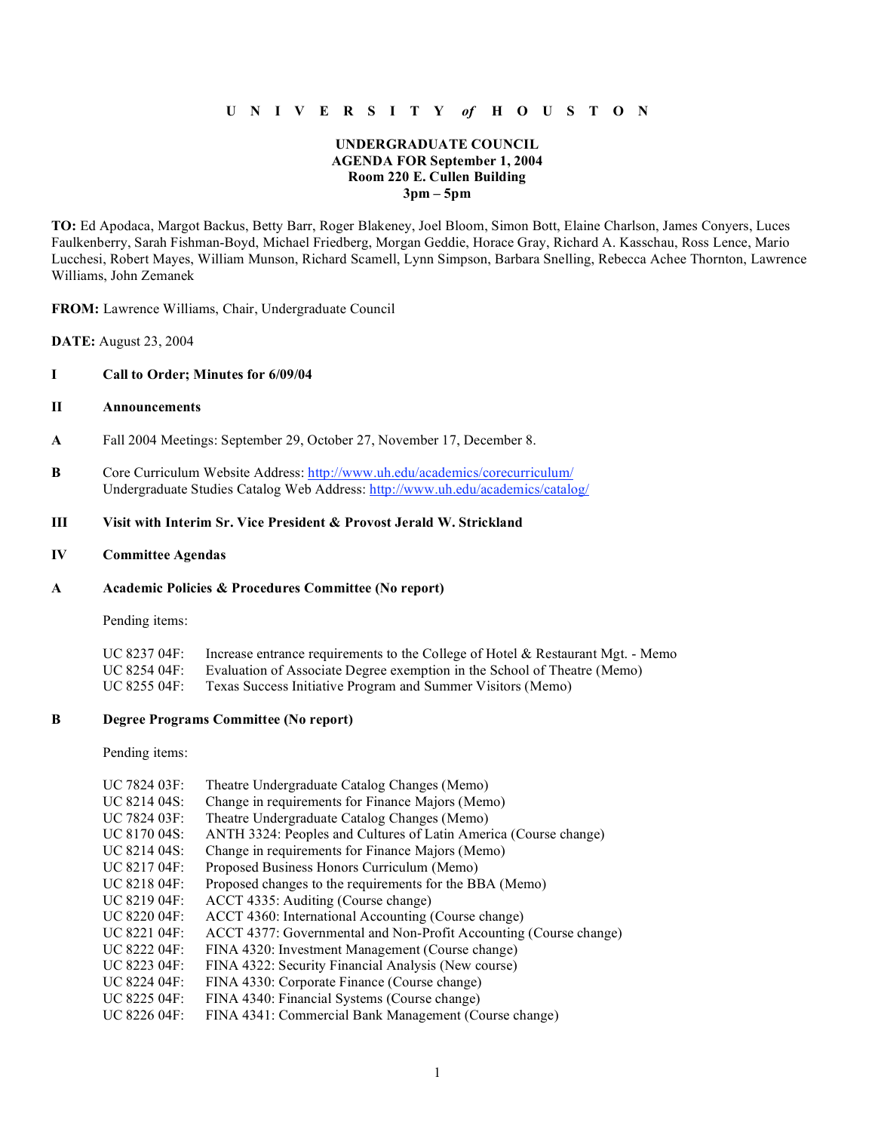# **U N I V E R S I T Y** *of* **H O U S T O N**

# **UNDERGRADUATE COUNCIL AGENDA FOR September 1, 2004 Room 220 E. Cullen Building 3pm – 5pm**

**TO:** Ed Apodaca, Margot Backus, Betty Barr, Roger Blakeney, Joel Bloom, Simon Bott, Elaine Charlson, James Conyers, Luces Faulkenberry, Sarah Fishman-Boyd, Michael Friedberg, Morgan Geddie, Horace Gray, Richard A. Kasschau, Ross Lence, Mario Lucchesi, Robert Mayes, William Munson, Richard Scamell, Lynn Simpson, Barbara Snelling, Rebecca Achee Thornton, Lawrence Williams, John Zemanek

**FROM:** Lawrence Williams, Chair, Undergraduate Council

**DATE:** August 23, 2004

### **I Call to Order; Minutes for 6/09/04**

# **II Announcements**

- **A** Fall 2004 Meetings: September 29, October 27, November 17, December 8.
- **B** Core Curriculum Website Address: http://www.uh.edu/academics/corecurriculum/ Undergraduate Studies Catalog Web Address: http://www.uh.edu/academics/catalog/

# **III Visit with Interim Sr. Vice President & Provost Jerald W. Strickland**

#### **IV Committee Agendas**

# **A Academic Policies & Procedures Committee (No report)**

Pending items:

| UC 8237 04F: | Increase entrance requirements to the College of Hotel & Restaurant Mgt. - Memo |
|--------------|---------------------------------------------------------------------------------|
| UC 8254 04F: | Evaluation of Associate Degree exemption in the School of Theatre (Memo)        |
| UC 8255 04F: | Texas Success Initiative Program and Summer Visitors (Memo)                     |

#### **B Degree Programs Committee (No report)**

Pending items:

| UC 7824 03F:                    | Theatre Undergraduate Catalog Changes (Memo)                      |
|---------------------------------|-------------------------------------------------------------------|
| UC 8214 04S:                    | Change in requirements for Finance Majors (Memo)                  |
| UC 7824 03F:                    | Theatre Undergraduate Catalog Changes (Memo)                      |
| UC 8170 04S:                    | ANTH 3324: Peoples and Cultures of Latin America (Course change)  |
| UC 8214 04S:                    | Change in requirements for Finance Majors (Memo)                  |
| $\text{UC } 8217\,04\text{F}$ : | Proposed Business Honors Curriculum (Memo)                        |
| $\overline{C}$ 8218 04F:        | Proposed changes to the requirements for the BBA (Memo)           |
| UC 8219 04F:                    | ACCT 4335: Auditing (Course change)                               |
| $\overline{C}$ 8220 04F:        | ACCT 4360: International Accounting (Course change)               |
| $\overline{C}$ 8221 04F:        | ACCT 4377: Governmental and Non-Profit Accounting (Course change) |
| $\overline{C}$ 8222 04F:        | FINA 4320: Investment Management (Course change)                  |
| UC 8223 04F:                    | FINA 4322: Security Financial Analysis (New course)               |
| UC 8224 04F:                    | FINA 4330: Corporate Finance (Course change)                      |
| UC 8225 04F:                    | FINA 4340: Financial Systems (Course change)                      |
| UC 8226 04F:                    | FINA 4341: Commercial Bank Management (Course change)             |
|                                 |                                                                   |